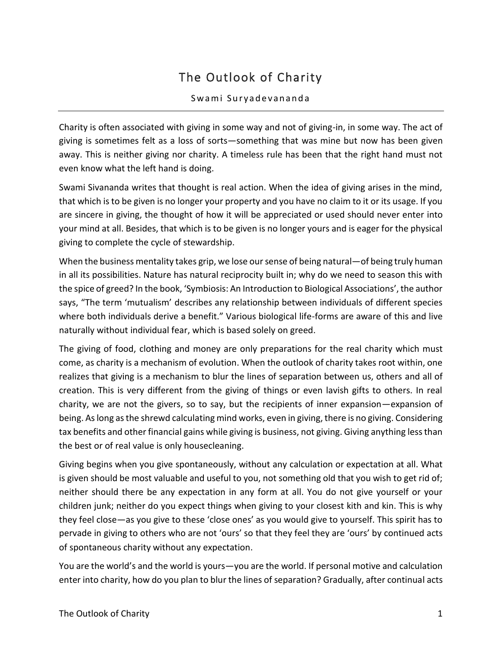## The Outlook of Charity

## Swami Suryadevananda

Charity is often associated with giving in some way and not of giving-in, in some way. The act of giving is sometimes felt as a loss of sorts—something that was mine but now has been given away. This is neither giving nor charity. A timeless rule has been that the right hand must not even know what the left hand is doing.

Swami Sivananda writes that thought is real action. When the idea of giving arises in the mind, that which is to be given is no longer your property and you have no claim to it or its usage. If you are sincere in giving, the thought of how it will be appreciated or used should never enter into your mind at all. Besides, that which is to be given is no longer yours and is eager for the physical giving to complete the cycle of stewardship.

When the business mentality takes grip, we lose our sense of being natural—of being truly human in all its possibilities. Nature has natural reciprocity built in; why do we need to season this with the spice of greed? In the book, 'Symbiosis: An Introduction to Biological Associations', the author says, "The term 'mutualism' describes any relationship between individuals of different species where both individuals derive a benefit." Various biological life-forms are aware of this and live naturally without individual fear, which is based solely on greed.

The giving of food, clothing and money are only preparations for the real charity which must come, as charity is a mechanism of evolution. When the outlook of charity takes root within, one realizes that giving is a mechanism to blur the lines of separation between us, others and all of creation. This is very different from the giving of things or even lavish gifts to others. In real charity, we are not the givers, so to say, but the recipients of inner expansion—expansion of being. As long as the shrewd calculating mind works, even in giving, there is no giving. Considering tax benefits and other financial gains while giving is business, not giving. Giving anything less than the best or of real value is only housecleaning.

Giving begins when you give spontaneously, without any calculation or expectation at all. What is given should be most valuable and useful to you, not something old that you wish to get rid of; neither should there be any expectation in any form at all. You do not give yourself or your children junk; neither do you expect things when giving to your closest kith and kin. This is why they feel close—as you give to these 'close ones' as you would give to yourself. This spirit has to pervade in giving to others who are not 'ours' so that they feel they are 'ours' by continued acts of spontaneous charity without any expectation.

You are the world's and the world is yours—you are the world. If personal motive and calculation enter into charity, how do you plan to blur the lines of separation? Gradually, after continual acts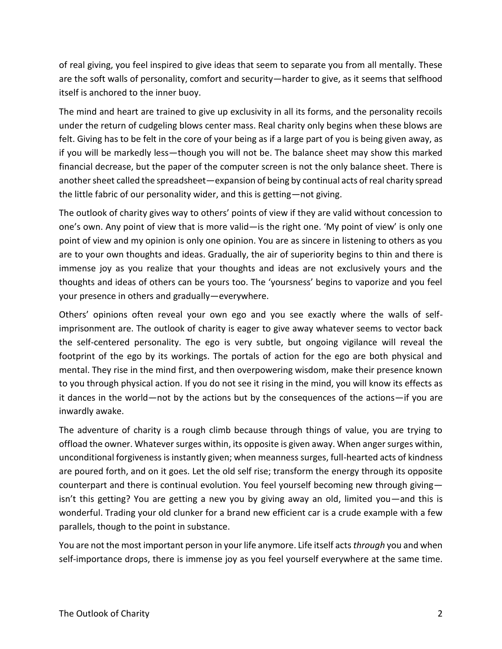of real giving, you feel inspired to give ideas that seem to separate you from all mentally. These are the soft walls of personality, comfort and security—harder to give, as it seems that selfhood itself is anchored to the inner buoy.

The mind and heart are trained to give up exclusivity in all its forms, and the personality recoils under the return of cudgeling blows center mass. Real charity only begins when these blows are felt. Giving has to be felt in the core of your being as if a large part of you is being given away, as if you will be markedly less—though you will not be. The balance sheet may show this marked financial decrease, but the paper of the computer screen is not the only balance sheet. There is another sheet called the spreadsheet—expansion of being by continual acts of real charity spread the little fabric of our personality wider, and this is getting—not giving.

The outlook of charity gives way to others' points of view if they are valid without concession to one's own. Any point of view that is more valid—is the right one. 'My point of view' is only one point of view and my opinion is only one opinion. You are as sincere in listening to others as you are to your own thoughts and ideas. Gradually, the air of superiority begins to thin and there is immense joy as you realize that your thoughts and ideas are not exclusively yours and the thoughts and ideas of others can be yours too. The 'yoursness' begins to vaporize and you feel your presence in others and gradually—everywhere.

Others' opinions often reveal your own ego and you see exactly where the walls of selfimprisonment are. The outlook of charity is eager to give away whatever seems to vector back the self-centered personality. The ego is very subtle, but ongoing vigilance will reveal the footprint of the ego by its workings. The portals of action for the ego are both physical and mental. They rise in the mind first, and then overpowering wisdom, make their presence known to you through physical action. If you do not see it rising in the mind, you will know its effects as it dances in the world—not by the actions but by the consequences of the actions—if you are inwardly awake.

The adventure of charity is a rough climb because through things of value, you are trying to offload the owner. Whatever surges within, its opposite is given away. When anger surges within, unconditional forgiveness is instantly given; when meanness surges, full-hearted acts of kindness are poured forth, and on it goes. Let the old self rise; transform the energy through its opposite counterpart and there is continual evolution. You feel yourself becoming new through giving isn't this getting? You are getting a new you by giving away an old, limited you—and this is wonderful. Trading your old clunker for a brand new efficient car is a crude example with a few parallels, though to the point in substance.

You are not the most important person in your life anymore. Life itself acts *through* you and when self-importance drops, there is immense joy as you feel yourself everywhere at the same time.